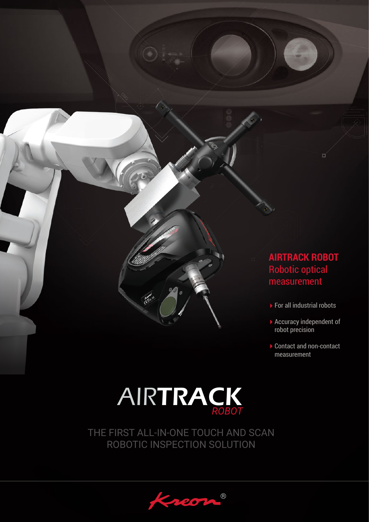

- ▶ For all industrial robots
- ▶ Accuracy independent of robot precision
- ▶ Contact and non-contact measurement

# **AIRTRACK** *ROBOT*

**Kent** 

THE FIRST ALL-IN-ONE TOUCH AND SCAN ROBOTIC INSPECTION SOLUTION

® 20)